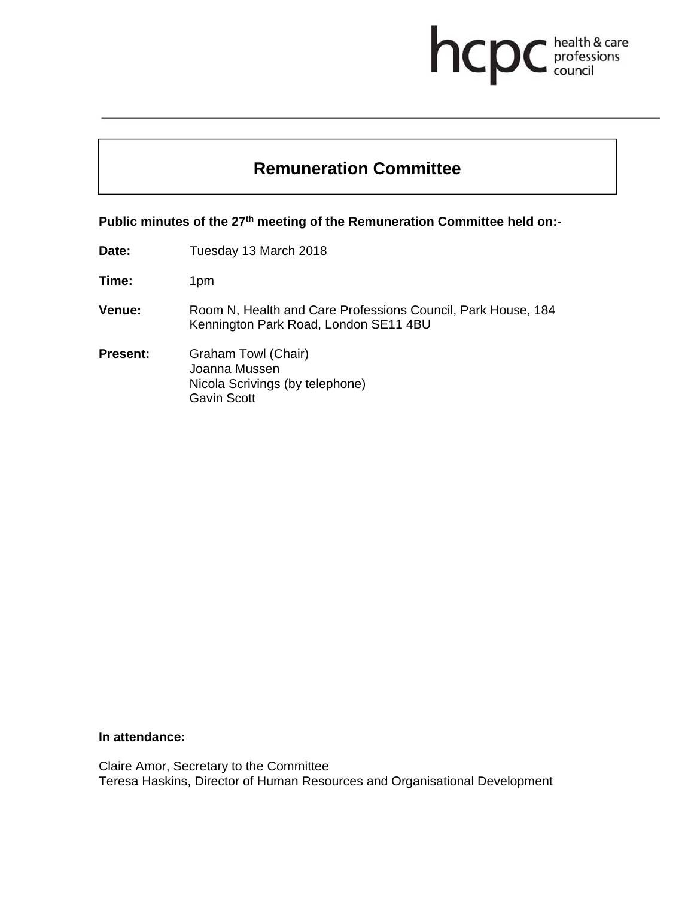# health & care hcpo professions

## **Remuneration Committee**

Public minutes of the 27<sup>th</sup> meeting of the Remuneration Committee held on:-

**Date:** Tuesday 13 March 2018

**Time:** 1pm

- **Venue:** Room N, Health and Care Professions Council, Park House, 184 Kennington Park Road, London SE11 4BU
- **Present:** Graham Towl (Chair) Joanna Mussen Nicola Scrivings (by telephone) Gavin Scott

#### **In attendance:**

Claire Amor, Secretary to the Committee Teresa Haskins, Director of Human Resources and Organisational Development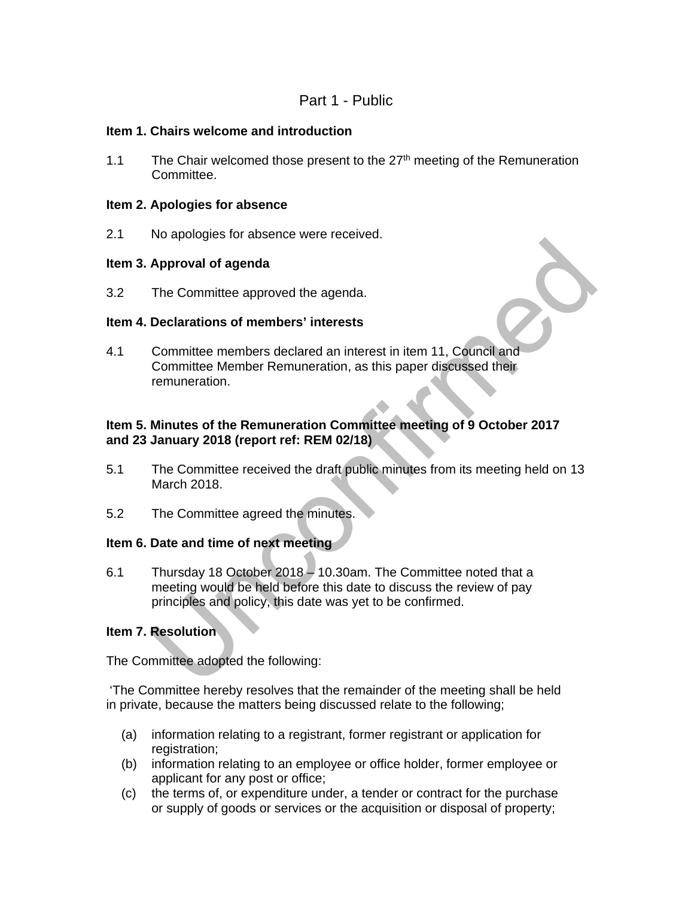### Part 1 - Public

#### **Item 1. Chairs welcome and introduction**

1.1 The Chair welcomed those present to the  $27<sup>th</sup>$  meeting of the Remuneration Committee.

#### **Item 2. Apologies for absence**

2.1 No apologies for absence were received.

#### **Item 3. Approval of agenda**

3.2 The Committee approved the agenda.

#### **Item 4. Declarations of members' interests**

4.1 Committee members declared an interest in item 11, Council and Committee Member Remuneration, as this paper discussed their remuneration.

#### **Item 5. Minutes of the Remuneration Committee meeting of 9 October 2017 and 23 January 2018 (report ref: REM 02/18)**

- 5.1 The Committee received the draft public minutes from its meeting held on 13 March 2018.
- 5.2 The Committee agreed the minutes.

#### **Item 6. Date and time of next meeting**

6.1 Thursday 18 October 2018 – 10.30am. The Committee noted that a meeting would be held before this date to discuss the review of pay principles and policy, this date was yet to be confirmed.

#### **Item 7. Resolution**

The Committee adopted the following:

 'The Committee hereby resolves that the remainder of the meeting shall be held in private, because the matters being discussed relate to the following;

- (a) information relating to a registrant, former registrant or application for registration;
- (b) information relating to an employee or office holder, former employee or applicant for any post or office;
- (c) the terms of, or expenditure under, a tender or contract for the purchase or supply of goods or services or the acquisition or disposal of property;